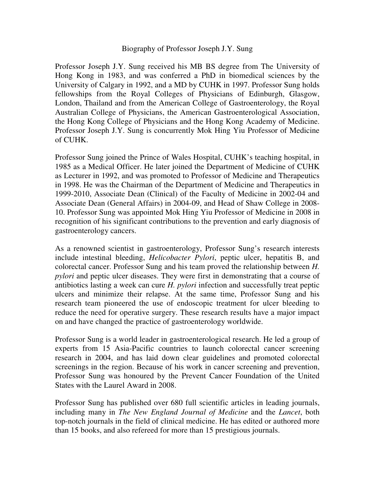## Biography of Professor Joseph J.Y. Sung

Professor Joseph J.Y. Sung received his MB BS degree from The University of Hong Kong in 1983, and was conferred a PhD in biomedical sciences by the University of Calgary in 1992, and a MD by CUHK in 1997. Professor Sung holds fellowships from the Royal Colleges of Physicians of Edinburgh, Glasgow, London, Thailand and from the American College of Gastroenterology, the Royal Australian College of Physicians, the American Gastroenterological Association, the Hong Kong College of Physicians and the Hong Kong Academy of Medicine. Professor Joseph J.Y. Sung is concurrently Mok Hing Yiu Professor of Medicine of CUHK.

Professor Sung joined the Prince of Wales Hospital, CUHK's teaching hospital, in 1985 as a Medical Officer. He later joined the Department of Medicine of CUHK as Lecturer in 1992, and was promoted to Professor of Medicine and Therapeutics in 1998. He was the Chairman of the Department of Medicine and Therapeutics in 1999-2010, Associate Dean (Clinical) of the Faculty of Medicine in 2002-04 and Associate Dean (General Affairs) in 2004-09, and Head of Shaw College in 2008- 10. Professor Sung was appointed Mok Hing Yiu Professor of Medicine in 2008 in recognition of his significant contributions to the prevention and early diagnosis of gastroenterology cancers.

As a renowned scientist in gastroenterology, Professor Sung's research interests include intestinal bleeding, *Helicobacter Pylori*, peptic ulcer, hepatitis B, and colorectal cancer. Professor Sung and his team proved the relationship between *H. pylori* and peptic ulcer diseases. They were first in demonstrating that a course of antibiotics lasting a week can cure *H. pylori* infection and successfully treat peptic ulcers and minimize their relapse. At the same time, Professor Sung and his research team pioneered the use of endoscopic treatment for ulcer bleeding to reduce the need for operative surgery. These research results have a major impact on and have changed the practice of gastroenterology worldwide.

Professor Sung is a world leader in gastroenterological research. He led a group of experts from 15 Asia-Pacific countries to launch colorectal cancer screening research in 2004, and has laid down clear guidelines and promoted colorectal screenings in the region. Because of his work in cancer screening and prevention, Professor Sung was honoured by the Prevent Cancer Foundation of the United States with the Laurel Award in 2008.

Professor Sung has published over 680 full scientific articles in leading journals, including many in *The New England Journal of Medicine* and the *Lancet*, both top-notch journals in the field of clinical medicine. He has edited or authored more than 15 books, and also refereed for more than 15 prestigious journals.